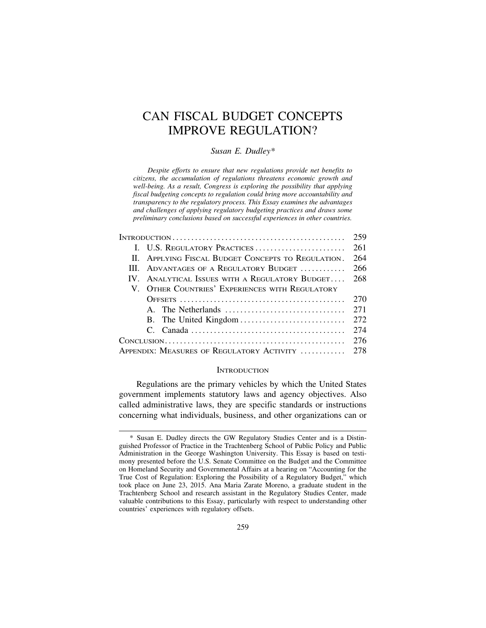# CAN FISCAL BUDGET CONCEPTS IMPROVE REGULATION?

## *Susan E. Dudley\**

*Despite efforts to ensure that new regulations provide net benefits to citizens, the accumulation of regulations threatens economic growth and well-being. As a result, Congress is exploring the possibility that applying fiscal budgeting concepts to regulation could bring more accountability and transparency to the regulatory process. This Essay examines the advantages and challenges of applying regulatory budgeting practices and draws some preliminary conclusions based on successful experiences in other countries.*

|                                                | II. APPLYING FISCAL BUDGET CONCEPTS TO REGULATION. 264 |  |
|------------------------------------------------|--------------------------------------------------------|--|
|                                                |                                                        |  |
|                                                | IV. ANALYTICAL ISSUES WITH A REGULATORY BUDGET 268     |  |
|                                                | V. OTHER COUNTRIES' EXPERIENCES WITH REGULATORY        |  |
|                                                |                                                        |  |
|                                                |                                                        |  |
|                                                |                                                        |  |
|                                                |                                                        |  |
|                                                |                                                        |  |
| Appendix: Measures of Regulatory Activity  278 |                                                        |  |

## **INTRODUCTION**

Regulations are the primary vehicles by which the United States government implements statutory laws and agency objectives. Also called administrative laws, they are specific standards or instructions concerning what individuals, business, and other organizations can or

<sup>\*</sup> Susan E. Dudley directs the GW Regulatory Studies Center and is a Distinguished Professor of Practice in the Trachtenberg School of Public Policy and Public Administration in the George Washington University. This Essay is based on testimony presented before the U.S. Senate Committee on the Budget and the Committee on Homeland Security and Governmental Affairs at a hearing on "Accounting for the True Cost of Regulation: Exploring the Possibility of a Regulatory Budget," which took place on June 23, 2015. Ana Maria Zarate Moreno, a graduate student in the Trachtenberg School and research assistant in the Regulatory Studies Center, made valuable contributions to this Essay, particularly with respect to understanding other countries' experiences with regulatory offsets.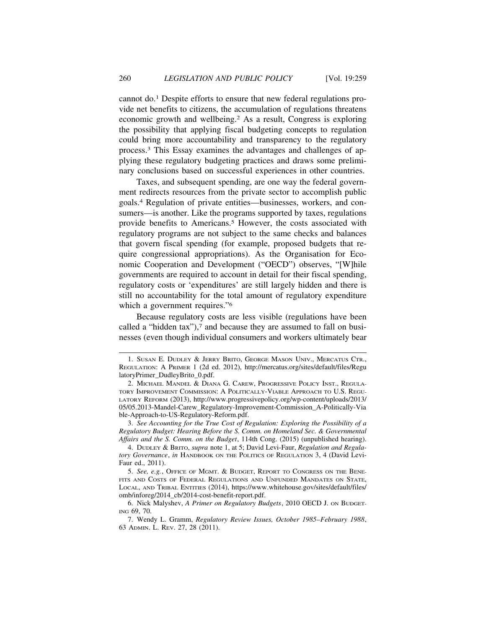cannot do.1 Despite efforts to ensure that new federal regulations provide net benefits to citizens, the accumulation of regulations threatens economic growth and wellbeing.2 As a result, Congress is exploring the possibility that applying fiscal budgeting concepts to regulation could bring more accountability and transparency to the regulatory process.3 This Essay examines the advantages and challenges of applying these regulatory budgeting practices and draws some preliminary conclusions based on successful experiences in other countries.

Taxes, and subsequent spending, are one way the federal government redirects resources from the private sector to accomplish public goals.4 Regulation of private entities—businesses, workers, and consumers—is another. Like the programs supported by taxes, regulations provide benefits to Americans.5 However, the costs associated with regulatory programs are not subject to the same checks and balances that govern fiscal spending (for example, proposed budgets that require congressional appropriations). As the Organisation for Economic Cooperation and Development ("OECD") observes, "[W]hile governments are required to account in detail for their fiscal spending, regulatory costs or 'expenditures' are still largely hidden and there is still no accountability for the total amount of regulatory expenditure which a government requires."<sup>6</sup>

Because regulatory costs are less visible (regulations have been called a "hidden tax"),<sup>7</sup> and because they are assumed to fall on businesses (even though individual consumers and workers ultimately bear

<sup>1.</sup> SUSAN E. DUDLEY & JERRY BRITO, GEORGE MASON UNIV., MERCATUS CTR., REGULATION: A PRIMER 1 (2d ed. 2012), http://mercatus.org/sites/default/files/Regu latoryPrimer\_DudleyBrito\_0.pdf.

<sup>2.</sup> MICHAEL MANDEL & DIANA G. CAREW, PROGRESSIVE POLICY INST., REGULA-TORY IMPROVEMENT COMMISSION: A POLITICALLY-VIABLE APPROACH TO U.S. REGU-LATORY REFORM (2013), http://www.progressivepolicy.org/wp-content/uploads/2013/ 05/05.2013-Mandel-Carew\_Regulatory-Improvement-Commission\_A-Politically-Via ble-Approach-to-US-Regulatory-Reform.pdf.

<sup>3.</sup> *See Accounting for the True Cost of Regulation: Exploring the Possibility of a Regulatory Budget: Hearing Before the S. Comm. on Homeland Sec. & Governmental Affairs and the S. Comm. on the Budget*, 114th Cong. (2015) (unpublished hearing).

<sup>4.</sup> DUDLEY & BRITO, *supra* note 1, at 5; David Levi-Faur, *Regulation and Regulatory Governance*, *in* HANDBOOK ON THE POLITICS OF REGULATION 3, 4 (David Levi-Faur ed., 2011).

<sup>5.</sup> *See, e.g.*, OFFICE OF MGMT. & BUDGET, REPORT TO CONGRESS ON THE BENE-FITS AND COSTS OF FEDERAL REGULATIONS AND UNFUNDED MANDATES ON STATE, LOCAL, AND TRIBAL ENTITIES (2014), https://www.whitehouse.gov/sites/default/files/ omb/inforeg/2014\_cb/2014-cost-benefit-report.pdf.

<sup>6.</sup> Nick Malyshev, *A Primer on Regulatory Budgets*, 2010 OECD J. ON BUDGET-ING 69, 70.

<sup>7.</sup> Wendy L. Gramm, *Regulatory Review Issues, October 1985–February 1988*, 63 ADMIN. L. REV. 27, 28 (2011).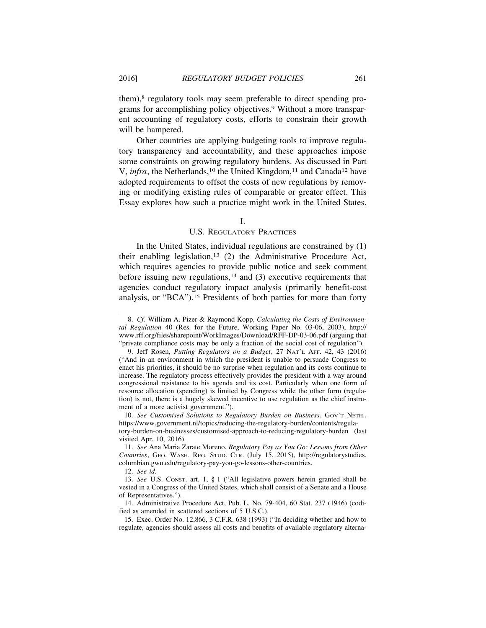them),8 regulatory tools may seem preferable to direct spending programs for accomplishing policy objectives.9 Without a more transparent accounting of regulatory costs, efforts to constrain their growth will be hampered.

Other countries are applying budgeting tools to improve regulatory transparency and accountability, and these approaches impose some constraints on growing regulatory burdens. As discussed in Part V, *infra*, the Netherlands,<sup>10</sup> the United Kingdom,<sup>11</sup> and Canada<sup>12</sup> have adopted requirements to offset the costs of new regulations by removing or modifying existing rules of comparable or greater effect. This Essay explores how such a practice might work in the United States.

#### I.

#### U.S. REGULATORY PRACTICES

In the United States, individual regulations are constrained by (1) their enabling legislation,<sup>13</sup> (2) the Administrative Procedure Act, which requires agencies to provide public notice and seek comment before issuing new regulations, $14$  and (3) executive requirements that agencies conduct regulatory impact analysis (primarily benefit-cost analysis, or "BCA").15 Presidents of both parties for more than forty

10. *See Customised Solutions to Regulatory Burden on Business*, GOV'T NETH., https://www.government.nl/topics/reducing-the-regulatory-burden/contents/regula-

tory-burden-on-businesses/customised-approach-to-reducing-regulatory-burden (last visited Apr. 10, 2016).

<sup>8.</sup> *Cf.* William A. Pizer & Raymond Kopp, *Calculating the Costs of Environmental Regulation* 40 (Res. for the Future, Working Paper No. 03-06, 2003), http:// www.rff.org/files/sharepoint/WorkImages/Download/RFF-DP-03-06.pdf (arguing that "private compliance costs may be only a fraction of the social cost of regulation").

<sup>9.</sup> Jeff Rosen, *Putting Regulators on a Budget*, 27 NAT'L AFF. 42, 43 (2016) ("And in an environment in which the president is unable to persuade Congress to enact his priorities, it should be no surprise when regulation and its costs continue to increase. The regulatory process effectively provides the president with a way around congressional resistance to his agenda and its cost. Particularly when one form of resource allocation (spending) is limited by Congress while the other form (regulation) is not, there is a hugely skewed incentive to use regulation as the chief instrument of a more activist government.").

<sup>11.</sup> *See* Ana Maria Zarate Moreno, *Regulatory Pay as You Go: Lessons from Other Countries*, GEO. WASH. REG. STUD. CTR. (July 15, 2015), http://regulatorystudies. columbian.gwu.edu/regulatory-pay-you-go-lessons-other-countries.

<sup>12.</sup> *See id.*

<sup>13.</sup> *See* U.S. CONST. art. 1, § 1 ("All legislative powers herein granted shall be vested in a Congress of the United States, which shall consist of a Senate and a House of Representatives.").

<sup>14.</sup> Administrative Procedure Act, Pub. L. No. 79-404, 60 Stat. 237 (1946) (codified as amended in scattered sections of 5 U.S.C.).

<sup>15.</sup> Exec. Order No. 12,866, 3 C.F.R. 638 (1993) ("In deciding whether and how to regulate, agencies should assess all costs and benefits of available regulatory alterna-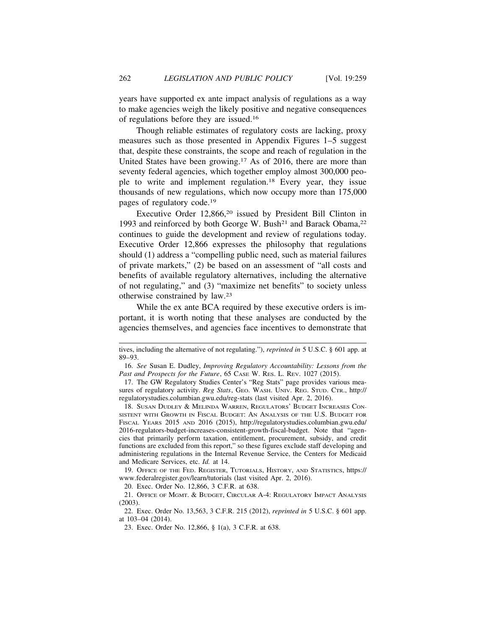years have supported ex ante impact analysis of regulations as a way to make agencies weigh the likely positive and negative consequences of regulations before they are issued.16

Though reliable estimates of regulatory costs are lacking, proxy measures such as those presented in Appendix Figures 1–5 suggest that, despite these constraints, the scope and reach of regulation in the United States have been growing.17 As of 2016, there are more than seventy federal agencies, which together employ almost 300,000 people to write and implement regulation.18 Every year, they issue thousands of new regulations, which now occupy more than 175,000 pages of regulatory code.19

Executive Order 12,866,<sup>20</sup> issued by President Bill Clinton in 1993 and reinforced by both George W. Bush<sup>21</sup> and Barack Obama,<sup>22</sup> continues to guide the development and review of regulations today. Executive Order 12,866 expresses the philosophy that regulations should (1) address a "compelling public need, such as material failures of private markets," (2) be based on an assessment of "all costs and benefits of available regulatory alternatives, including the alternative of not regulating," and (3) "maximize net benefits" to society unless otherwise constrained by law.23

While the ex ante BCA required by these executive orders is important, it is worth noting that these analyses are conducted by the agencies themselves, and agencies face incentives to demonstrate that

18. SUSAN DUDLEY & MELINDA WARREN, REGULATORS' BUDGET INCREASES CON-SISTENT WITH GROWTH IN FISCAL BUDGET: AN ANALYSIS OF THE U.S. BUDGET FOR FISCAL YEARS 2015 AND 2016 (2015), http://regulatorystudies.columbian.gwu.edu/ 2016-regulators-budget-increases-consistent-growth-fiscal-budget. Note that "agencies that primarily perform taxation, entitlement, procurement, subsidy, and credit functions are excluded from this report," so these figures exclude staff developing and administering regulations in the Internal Revenue Service, the Centers for Medicaid and Medicare Services, etc. *Id.* at 14.

19. OFFICE OF THE FED. REGISTER, TUTORIALS, HISTORY, AND STATISTICS, https:// www.federalregister.gov/learn/tutorials (last visited Apr. 2, 2016).

20. Exec. Order No. 12,866, 3 C.F.R. at 638.

21. OFFICE OF MGMT. & BUDGET, CIRCULAR A-4: REGULATORY IMPACT ANALYSIS (2003).

22. Exec. Order No. 13,563, 3 C.F.R. 215 (2012), *reprinted in* 5 U.S.C. § 601 app. at 103–04 (2014).

23. Exec. Order No. 12,866, § 1(a), 3 C.F.R. at 638.

tives, including the alternative of not regulating."), *reprinted in* 5 U.S.C. § 601 app. at 89–93.

<sup>16.</sup> *See* Susan E. Dudley, *Improving Regulatory Accountability: Lessons from the Past and Prospects for the Future*, 65 CASE W. RES. L. REV. 1027 (2015).

<sup>17.</sup> The GW Regulatory Studies Center's "Reg Stats" page provides various measures of regulatory activity. *Reg Stats*, GEO. WASH. UNIV. REG. STUD. CTR., http:// regulatorystudies.columbian.gwu.edu/reg-stats (last visited Apr. 2, 2016).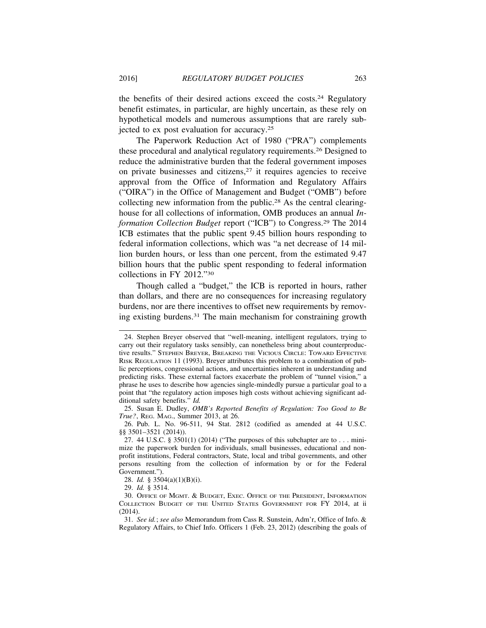the benefits of their desired actions exceed the costs.24 Regulatory benefit estimates, in particular, are highly uncertain, as these rely on hypothetical models and numerous assumptions that are rarely subjected to ex post evaluation for accuracy.25

The Paperwork Reduction Act of 1980 ("PRA") complements these procedural and analytical regulatory requirements.26 Designed to reduce the administrative burden that the federal government imposes on private businesses and citizens,27 it requires agencies to receive approval from the Office of Information and Regulatory Affairs ("OIRA") in the Office of Management and Budget ("OMB") before collecting new information from the public.28 As the central clearinghouse for all collections of information, OMB produces an annual *Information Collection Budget* report ("ICB") to Congress.29 The 2014 ICB estimates that the public spent 9.45 billion hours responding to federal information collections, which was "a net decrease of 14 million burden hours, or less than one percent, from the estimated 9.47 billion hours that the public spent responding to federal information collections in FY 2012."30

Though called a "budget," the ICB is reported in hours, rather than dollars, and there are no consequences for increasing regulatory burdens, nor are there incentives to offset new requirements by removing existing burdens.31 The main mechanism for constraining growth

<sup>24.</sup> Stephen Breyer observed that "well-meaning, intelligent regulators, trying to carry out their regulatory tasks sensibly, can nonetheless bring about counterproductive results." STEPHEN BREYER, BREAKING THE VICIOUS CIRCLE: TOWARD EFFECTIVE RISK REGULATION 11 (1993). Breyer attributes this problem to a combination of public perceptions, congressional actions, and uncertainties inherent in understanding and predicting risks. These external factors exacerbate the problem of "tunnel vision," a phrase he uses to describe how agencies single-mindedly pursue a particular goal to a point that "the regulatory action imposes high costs without achieving significant additional safety benefits." *Id.*

<sup>25.</sup> Susan E. Dudley, *OMB's Reported Benefits of Regulation: Too Good to Be True?*, REG. MAG., Summer 2013, at 26.

<sup>26.</sup> Pub. L. No. 96-511, 94 Stat. 2812 (codified as amended at 44 U.S.C. §§ 3501–3521 (2014)).

<sup>27. 44</sup> U.S.C. § 3501(1) (2014) ("The purposes of this subchapter are to . . . minimize the paperwork burden for individuals, small businesses, educational and nonprofit institutions, Federal contractors, State, local and tribal governments, and other persons resulting from the collection of information by or for the Federal Government.").

<sup>28.</sup> *Id.* § 3504(a)(1)(B)(i).

<sup>29.</sup> *Id.* § 3514.

<sup>30.</sup> OFFICE OF MGMT. & BUDGET, EXEC. OFFICE OF THE PRESIDENT, INFORMATION COLLECTION BUDGET OF THE UNITED STATES GOVERNMENT FOR FY 2014, at ii (2014).

<sup>31.</sup> *See id.*; *see also* Memorandum from Cass R. Sunstein, Adm'r, Office of Info. & Regulatory Affairs, to Chief Info. Officers 1 (Feb. 23, 2012) (describing the goals of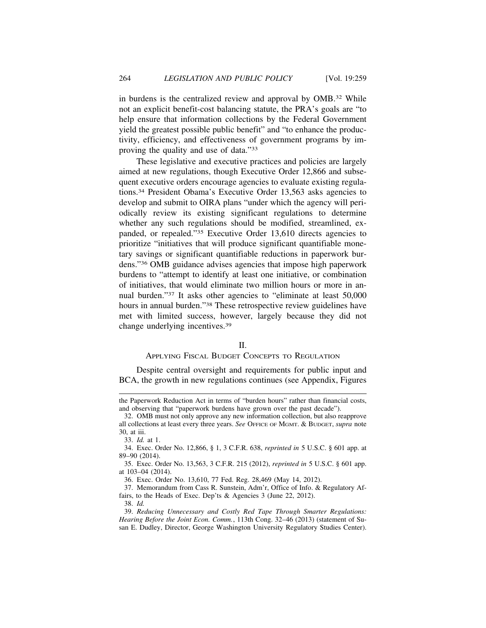in burdens is the centralized review and approval by OMB.32 While not an explicit benefit-cost balancing statute, the PRA's goals are "to help ensure that information collections by the Federal Government yield the greatest possible public benefit" and "to enhance the productivity, efficiency, and effectiveness of government programs by improving the quality and use of data."33

These legislative and executive practices and policies are largely aimed at new regulations, though Executive Order 12,866 and subsequent executive orders encourage agencies to evaluate existing regulations.34 President Obama's Executive Order 13,563 asks agencies to develop and submit to OIRA plans "under which the agency will periodically review its existing significant regulations to determine whether any such regulations should be modified, streamlined, expanded, or repealed."35 Executive Order 13,610 directs agencies to prioritize "initiatives that will produce significant quantifiable monetary savings or significant quantifiable reductions in paperwork burdens."36 OMB guidance advises agencies that impose high paperwork burdens to "attempt to identify at least one initiative, or combination of initiatives, that would eliminate two million hours or more in annual burden."37 It asks other agencies to "eliminate at least 50,000 hours in annual burden."38 These retrospective review guidelines have met with limited success, however, largely because they did not change underlying incentives.39

## II.

## APPLYING FISCAL BUDGET CONCEPTS TO REGULATION

Despite central oversight and requirements for public input and BCA, the growth in new regulations continues (see Appendix, Figures

the Paperwork Reduction Act in terms of "burden hours" rather than financial costs, and observing that "paperwork burdens have grown over the past decade").

<sup>32.</sup> OMB must not only approve any new information collection, but also reapprove all collections at least every three years. *See* OFFICE OF MGMT. & BUDGET, *supra* note 30, at iii. **R**

<sup>33.</sup> *Id.* at 1.

<sup>34.</sup> Exec. Order No. 12,866, § 1, 3 C.F.R. 638, *reprinted in* 5 U.S.C. § 601 app. at 89–90 (2014).

<sup>35.</sup> Exec. Order No. 13,563, 3 C.F.R. 215 (2012), *reprinted in* 5 U.S.C. § 601 app. at 103–04 (2014).

<sup>36.</sup> Exec. Order No. 13,610, 77 Fed. Reg. 28,469 (May 14, 2012).

<sup>37.</sup> Memorandum from Cass R. Sunstein, Adm'r, Office of Info. & Regulatory Affairs, to the Heads of Exec. Dep'ts & Agencies 3 (June 22, 2012).

<sup>38.</sup> *Id.*

<sup>39.</sup> *Reducing Unnecessary and Costly Red Tape Through Smarter Regulations: Hearing Before the Joint Econ. Comm.*, 113th Cong. 32–46 (2013) (statement of Susan E. Dudley, Director, George Washington University Regulatory Studies Center).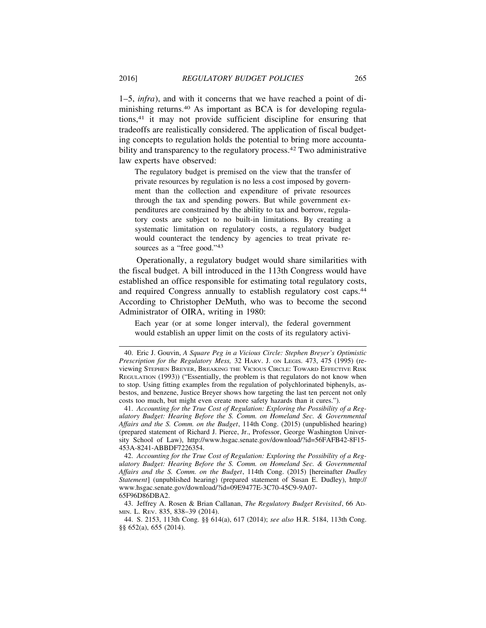1–5, *infra*), and with it concerns that we have reached a point of diminishing returns.40 As important as BCA is for developing regulations,41 it may not provide sufficient discipline for ensuring that tradeoffs are realistically considered. The application of fiscal budgeting concepts to regulation holds the potential to bring more accountability and transparency to the regulatory process.<sup>42</sup> Two administrative law experts have observed:

The regulatory budget is premised on the view that the transfer of private resources by regulation is no less a cost imposed by government than the collection and expenditure of private resources through the tax and spending powers. But while government expenditures are constrained by the ability to tax and borrow, regulatory costs are subject to no built-in limitations. By creating a systematic limitation on regulatory costs, a regulatory budget would counteract the tendency by agencies to treat private resources as a "free good."<sup>43</sup>

Operationally, a regulatory budget would share similarities with the fiscal budget. A bill introduced in the 113th Congress would have established an office responsible for estimating total regulatory costs, and required Congress annually to establish regulatory cost caps.<sup>44</sup> According to Christopher DeMuth, who was to become the second Administrator of OIRA, writing in 1980:

Each year (or at some longer interval), the federal government would establish an upper limit on the costs of its regulatory activi-

41. *Accounting for the True Cost of Regulation: Exploring the Possibility of a Regulatory Budget: Hearing Before the S. Comm. on Homeland Sec. & Governmental Affairs and the S. Comm. on the Budget*, 114th Cong. (2015) (unpublished hearing) (prepared statement of Richard J. Pierce, Jr., Professor, George Washington University School of Law), http://www.hsgac.senate.gov/download/?id=56FAFB42-8F15- 453A-8241-ABBDF7226354.

42. *Accounting for the True Cost of Regulation: Exploring the Possibility of a Regulatory Budget: Hearing Before the S. Comm. on Homeland Sec. & Governmental Affairs and the S. Comm. on the Budget*, 114th Cong. (2015) [hereinafter *Dudley Statement*] (unpublished hearing) (prepared statement of Susan E. Dudley), http:// www.hsgac.senate.gov/download/?id=09E9477E-3C70-45C9-9A07- 65F96D86DBA2.

43. Jeffrey A. Rosen & Brian Callanan, *The Regulatory Budget Revisited*, 66 AD-MIN. L. REV. 835, 838–39 (2014).

<sup>40.</sup> Eric J. Gouvin, *A Square Peg in a Vicious Circle: Stephen Breyer's Optimistic Prescription for the Regulatory Mess,* 32 HARV. J. ON LEGIS. 473, 475 (1995) (reviewing STEPHEN BREYER, BREAKING THE VICIOUS CIRCLE: TOWARD EFFECTIVE RISK REGULATION (1993)) ("Essentially, the problem is that regulators do not know when to stop. Using fitting examples from the regulation of polychlorinated biphenyls, asbestos, and benzene, Justice Breyer shows how targeting the last ten percent not only costs too much, but might even create more safety hazards than it cures.").

<sup>44.</sup> S. 2153, 113th Cong. §§ 614(a), 617 (2014); *see also* H.R. 5184, 113th Cong. §§ 652(a), 655 (2014).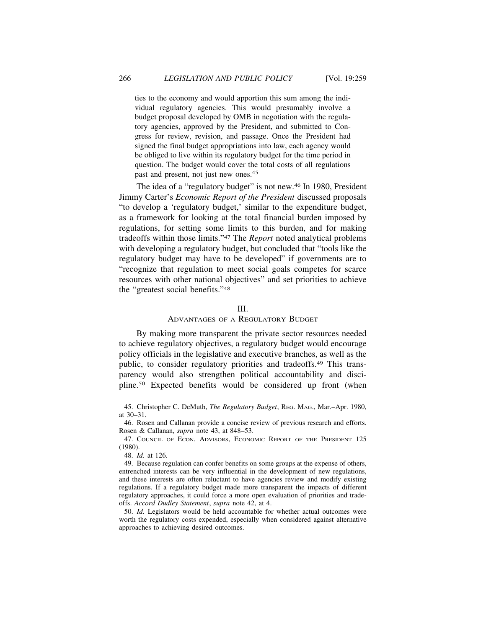ties to the economy and would apportion this sum among the individual regulatory agencies. This would presumably involve a budget proposal developed by OMB in negotiation with the regulatory agencies, approved by the President, and submitted to Congress for review, revision, and passage. Once the President had signed the final budget appropriations into law, each agency would be obliged to live within its regulatory budget for the time period in question. The budget would cover the total costs of all regulations past and present, not just new ones.45

The idea of a "regulatory budget" is not new.<sup>46</sup> In 1980, President Jimmy Carter's *Economic Report of the President* discussed proposals "to develop a 'regulatory budget,' similar to the expenditure budget, as a framework for looking at the total financial burden imposed by regulations, for setting some limits to this burden, and for making tradeoffs within those limits."47 The *Report* noted analytical problems with developing a regulatory budget, but concluded that "tools like the regulatory budget may have to be developed" if governments are to "recognize that regulation to meet social goals competes for scarce resources with other national objectives" and set priorities to achieve the "greatest social benefits."48

#### III.

#### ADVANTAGES OF A REGULATORY BUDGET

By making more transparent the private sector resources needed to achieve regulatory objectives, a regulatory budget would encourage policy officials in the legislative and executive branches, as well as the public, to consider regulatory priorities and tradeoffs.49 This transparency would also strengthen political accountability and discipline.50 Expected benefits would be considered up front (when

<sup>45.</sup> Christopher C. DeMuth, *The Regulatory Budget*, REG. MAG., Mar.–Apr. 1980, at 30–31.

<sup>46.</sup> Rosen and Callanan provide a concise review of previous research and efforts. Rosen & Callanan, *supra* note 43, at 848–53. **R**

<sup>47.</sup> COUNCIL OF ECON. ADVISORS, ECONOMIC REPORT OF THE PRESIDENT 125 (1980).

<sup>48.</sup> *Id.* at 126*.*

<sup>49.</sup> Because regulation can confer benefits on some groups at the expense of others, entrenched interests can be very influential in the development of new regulations, and these interests are often reluctant to have agencies review and modify existing regulations. If a regulatory budget made more transparent the impacts of different regulatory approaches, it could force a more open evaluation of priorities and tradeoffs. *Accord Dudley Statement*, *supra* note 42, at 4. **R**

<sup>50.</sup> *Id.* Legislators would be held accountable for whether actual outcomes were worth the regulatory costs expended, especially when considered against alternative approaches to achieving desired outcomes.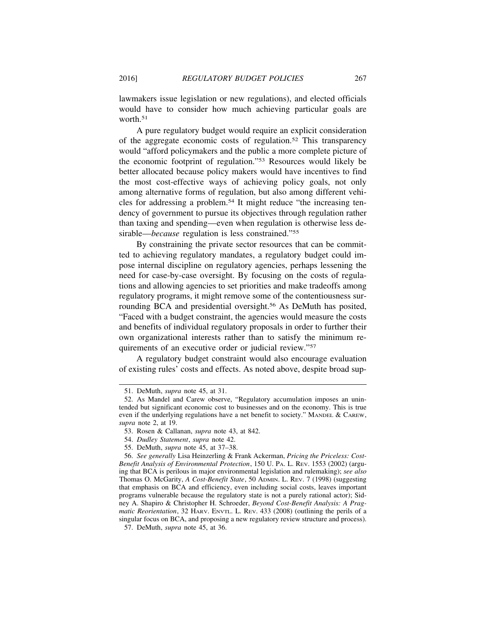lawmakers issue legislation or new regulations), and elected officials would have to consider how much achieving particular goals are worth.<sup>51</sup>

A pure regulatory budget would require an explicit consideration of the aggregate economic costs of regulation.52 This transparency would "afford policymakers and the public a more complete picture of the economic footprint of regulation."53 Resources would likely be better allocated because policy makers would have incentives to find the most cost-effective ways of achieving policy goals, not only among alternative forms of regulation, but also among different vehicles for addressing a problem.54 It might reduce "the increasing tendency of government to pursue its objectives through regulation rather than taxing and spending—even when regulation is otherwise less desirable—*because* regulation is less constrained."55

By constraining the private sector resources that can be committed to achieving regulatory mandates, a regulatory budget could impose internal discipline on regulatory agencies, perhaps lessening the need for case-by-case oversight. By focusing on the costs of regulations and allowing agencies to set priorities and make tradeoffs among regulatory programs, it might remove some of the contentiousness surrounding BCA and presidential oversight.56 As DeMuth has posited, "Faced with a budget constraint, the agencies would measure the costs and benefits of individual regulatory proposals in order to further their own organizational interests rather than to satisfy the minimum requirements of an executive order or judicial review."57

A regulatory budget constraint would also encourage evaluation of existing rules' costs and effects. As noted above, despite broad sup-

<sup>51.</sup> DeMuth, *supra* note 45, at 31. **R**

<sup>52.</sup> As Mandel and Carew observe, "Regulatory accumulation imposes an unintended but significant economic cost to businesses and on the economy. This is true even if the underlying regulations have a net benefit to society." MANDEL & CAREW, *supra* note 2, at 19. **R**

<sup>53.</sup> Rosen & Callanan, *supra* note 43, at 842. **R**

<sup>54.</sup> *Dudley Statement*, *supra* note 42. **R**

<sup>55.</sup> DeMuth, *supra* note 45, at 37–38. **R**

<sup>56.</sup> *See generally* Lisa Heinzerling & Frank Ackerman, *Pricing the Priceless: Cost-Benefit Analysis of Environmental Protection*, 150 U. PA. L. REV. 1553 (2002) (arguing that BCA is perilous in major environmental legislation and rulemaking); *see also* Thomas O. McGarity, *A Cost-Benefit State*, 50 ADMIN. L. REV. 7 (1998) (suggesting that emphasis on BCA and efficiency, even including social costs, leaves important programs vulnerable because the regulatory state is not a purely rational actor); Sidney A. Shapiro & Christopher H. Schroeder, *Beyond Cost-Benefit Analysis: A Pragmatic Reorientation*, 32 HARV. ENVTL. L. REV. 433 (2008) (outlining the perils of a singular focus on BCA, and proposing a new regulatory review structure and process).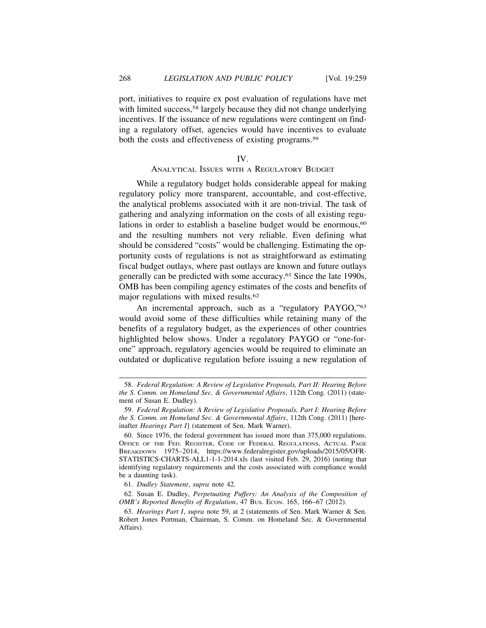port, initiatives to require ex post evaluation of regulations have met with limited success,<sup>58</sup> largely because they did not change underlying incentives. If the issuance of new regulations were contingent on finding a regulatory offset, agencies would have incentives to evaluate both the costs and effectiveness of existing programs.<sup>59</sup>

#### IV.

## ANALYTICAL ISSUES WITH A REGULATORY BUDGET

While a regulatory budget holds considerable appeal for making regulatory policy more transparent, accountable, and cost-effective, the analytical problems associated with it are non-trivial. The task of gathering and analyzing information on the costs of all existing regulations in order to establish a baseline budget would be enormous,<sup>60</sup> and the resulting numbers not very reliable. Even defining what should be considered "costs" would be challenging. Estimating the opportunity costs of regulations is not as straightforward as estimating fiscal budget outlays, where past outlays are known and future outlays generally can be predicted with some accuracy.61 Since the late 1990s, OMB has been compiling agency estimates of the costs and benefits of major regulations with mixed results.62

An incremental approach, such as a "regulatory PAYGO,"63 would avoid some of these difficulties while retaining many of the benefits of a regulatory budget, as the experiences of other countries highlighted below shows. Under a regulatory PAYGO or "one-forone" approach, regulatory agencies would be required to eliminate an outdated or duplicative regulation before issuing a new regulation of

<sup>58.</sup> *Federal Regulation: A Review of Legislative Proposals, Part II: Hearing Before the S. Comm. on Homeland Sec. & Governmental Affairs*, 112th Cong. (2011) (statement of Susan E. Dudley).

<sup>59.</sup> *Federal Regulation: A Review of Legislative Proposals, Part I: Hearing Before the S. Comm. on Homeland Sec. & Governmental Affairs*, 112th Cong. (2011) [hereinafter *Hearings Part I*] (statement of Sen. Mark Warner).

<sup>60.</sup> Since 1976, the federal government has issued more than 375,000 regulations. OFFICE OF THE FED. REGISTER, CODE OF FEDERAL REGULATIONS, ACTUAL PAGE BREAKDOWN 1975–2014, https://www.federalregister.gov/uploads/2015/05/OFR-STATISTICS-CHARTS-ALL1-1-1-2014.xls (last visited Feb. 29, 2016) (noting that identifying regulatory requirements and the costs associated with compliance would be a daunting task).

<sup>61.</sup> *Dudley Statement*, *supra* note 42. **R**

<sup>62.</sup> Susan E. Dudley, *Perpetuating Puffery: An Analysis of the Composition of OMB's Reported Benefits of Regulation*, 47 BUS. ECON. 165, 166–67 (2012).

<sup>63.</sup> *Hearings Part I*, *supra* note 59, at 2 (statements of Sen. Mark Warner & Sen. **R** Robert Jones Portman, Chairman, S. Comm. on Homeland Sec. & Governmental Affairs).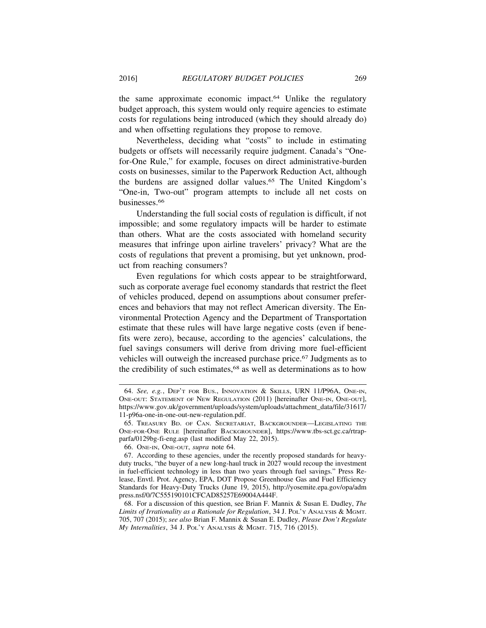the same approximate economic impact.64 Unlike the regulatory budget approach, this system would only require agencies to estimate costs for regulations being introduced (which they should already do) and when offsetting regulations they propose to remove.

Nevertheless, deciding what "costs" to include in estimating budgets or offsets will necessarily require judgment. Canada's "Onefor-One Rule," for example, focuses on direct administrative-burden costs on businesses, similar to the Paperwork Reduction Act, although the burdens are assigned dollar values.65 The United Kingdom's "One-in, Two-out" program attempts to include all net costs on businesses.66

Understanding the full social costs of regulation is difficult, if not impossible; and some regulatory impacts will be harder to estimate than others. What are the costs associated with homeland security measures that infringe upon airline travelers' privacy? What are the costs of regulations that prevent a promising, but yet unknown, product from reaching consumers?

Even regulations for which costs appear to be straightforward, such as corporate average fuel economy standards that restrict the fleet of vehicles produced, depend on assumptions about consumer preferences and behaviors that may not reflect American diversity. The Environmental Protection Agency and the Department of Transportation estimate that these rules will have large negative costs (even if benefits were zero), because, according to the agencies' calculations, the fuel savings consumers will derive from driving more fuel-efficient vehicles will outweigh the increased purchase price.67 Judgments as to the credibility of such estimates,<sup>68</sup> as well as determinations as to how

<sup>64.</sup> *See, e.g.*, DEP'T FOR BUS., INNOVATION & SKILLS, URN 11/P96A, ONE-IN, ONE-OUT: STATEMENT OF NEW REGULATION (2011) [hereinafter ONE-IN, ONE-OUT], https://www.gov.uk/government/uploads/system/uploads/attachment\_data/file/31617/ 11-p96a-one-in-one-out-new-regulation.pdf.

<sup>65.</sup> TREASURY BD. OF CAN. SECRETARIAT, BACKGROUNDER—LEGISLATING THE ONE-FOR-ONE RULE [hereinafter BACKGROUNDER], https://www.tbs-sct.gc.ca/rtrapparfa/0129bg-fi-eng.asp (last modified May 22, 2015).

<sup>66.</sup> ONE-IN, ONE-OUT, *supra* note 64. **R**

<sup>67.</sup> According to these agencies, under the recently proposed standards for heavyduty trucks, "the buyer of a new long-haul truck in 2027 would recoup the investment in fuel-efficient technology in less than two years through fuel savings." Press Release, Envtl. Prot. Agency, EPA, DOT Propose Greenhouse Gas and Fuel Efficiency Standards for Heavy-Duty Trucks (June 19, 2015), http://yosemite.epa.gov/opa/adm press.nsf/0/7C555190101CFCAD85257E69004A444F.

<sup>68.</sup> For a discussion of this question, see Brian F. Mannix & Susan E. Dudley, *The Limits of Irrationality as a Rationale for Regulation*, 34 J. POL'Y ANALYSIS & MGMT. 705, 707 (2015); *see also* Brian F. Mannix & Susan E. Dudley, *Please Don't Regulate My Internalities*, 34 J. POL'Y ANALYSIS & MGMT. 715, 716 (2015).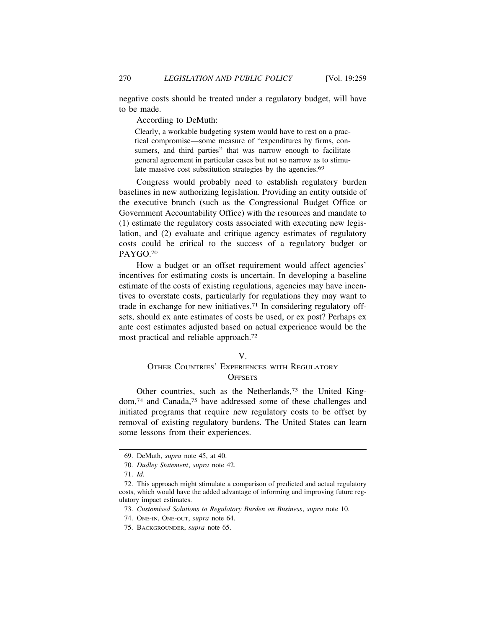negative costs should be treated under a regulatory budget, will have to be made.

According to DeMuth:

Clearly, a workable budgeting system would have to rest on a practical compromise—some measure of "expenditures by firms, consumers, and third parties" that was narrow enough to facilitate general agreement in particular cases but not so narrow as to stimulate massive cost substitution strategies by the agencies.<sup>69</sup>

Congress would probably need to establish regulatory burden baselines in new authorizing legislation. Providing an entity outside of the executive branch (such as the Congressional Budget Office or Government Accountability Office) with the resources and mandate to (1) estimate the regulatory costs associated with executing new legislation, and (2) evaluate and critique agency estimates of regulatory costs could be critical to the success of a regulatory budget or PAYGO.70

How a budget or an offset requirement would affect agencies' incentives for estimating costs is uncertain. In developing a baseline estimate of the costs of existing regulations, agencies may have incentives to overstate costs, particularly for regulations they may want to trade in exchange for new initiatives.71 In considering regulatory offsets, should ex ante estimates of costs be used, or ex post? Perhaps ex ante cost estimates adjusted based on actual experience would be the most practical and reliable approach.72

#### V.

# OTHER COUNTRIES' EXPERIENCES WITH REGULATORY **OFFSETS**

Other countries, such as the Netherlands,73 the United Kingdom,74 and Canada,75 have addressed some of these challenges and initiated programs that require new regulatory costs to be offset by removal of existing regulatory burdens. The United States can learn some lessons from their experiences.

<sup>69.</sup> DeMuth, *supra* note 45, at 40. **R**

<sup>70.</sup> *Dudley Statement*, *supra* note 42. **R**

<sup>71.</sup> *Id.*

<sup>72.</sup> This approach might stimulate a comparison of predicted and actual regulatory costs, which would have the added advantage of informing and improving future regulatory impact estimates.

<sup>73.</sup> Customised Solutions to Regulatory Burden on Business, supra note 10.

<sup>74.</sup> ONE-IN, ONE-OUT, *supra* note 64. **R**

<sup>75.</sup> BACKGROUNDER, *supra* note 65. **R**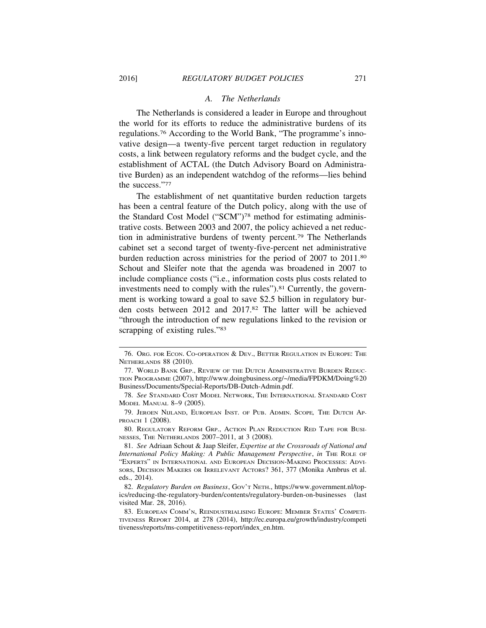#### *A. The Netherlands*

The Netherlands is considered a leader in Europe and throughout the world for its efforts to reduce the administrative burdens of its regulations.76 According to the World Bank, "The programme's innovative design—a twenty-five percent target reduction in regulatory costs, a link between regulatory reforms and the budget cycle, and the establishment of ACTAL (the Dutch Advisory Board on Administrative Burden) as an independent watchdog of the reforms—lies behind the success."77

The establishment of net quantitative burden reduction targets has been a central feature of the Dutch policy, along with the use of the Standard Cost Model ("SCM")78 method for estimating administrative costs. Between 2003 and 2007, the policy achieved a net reduction in administrative burdens of twenty percent.79 The Netherlands cabinet set a second target of twenty-five-percent net administrative burden reduction across ministries for the period of 2007 to 2011.80 Schout and Sleifer note that the agenda was broadened in 2007 to include compliance costs ("i.e., information costs plus costs related to investments need to comply with the rules").81 Currently, the government is working toward a goal to save \$2.5 billion in regulatory burden costs between 2012 and 2017.82 The latter will be achieved "through the introduction of new regulations linked to the revision or scrapping of existing rules."<sup>83</sup>

<sup>76.</sup> ORG. FOR ECON. CO-OPERATION & DEV., BETTER REGULATION IN EUROPE: THE NETHERLANDS 88 (2010).

<sup>77.</sup> WORLD BANK GRP., REVIEW OF THE DUTCH ADMINISTRATIVE BURDEN REDUC-TION PROGRAMME (2007), http://www.doingbusiness.org/~/media/FPDKM/Doing%20 Business/Documents/Special-Reports/DB-Dutch-Admin.pdf.

<sup>78.</sup> *See* STANDARD COST MODEL NETWORK, THE INTERNATIONAL STANDARD COST MODEL MANUAL 8–9 (2005).

<sup>79.</sup> JEROEN NIJLAND, EUROPEAN INST. OF PUB. ADMIN. SCOPE*,* THE DUTCH AP-PROACH 1 (2008).

<sup>80.</sup> REGULATORY REFORM GRP., ACTION PLAN REDUCTION RED TAPE FOR BUSI-NESSES, THE NETHERLANDS 2007–2011, at 3 (2008).

<sup>81.</sup> *See* Adriaan Schout & Jaap Sleifer, *Expertise at the Crossroads of National and International Policy Making: A Public Management Perspective, in THE ROLE OF* "EXPERTS" IN INTERNATIONAL AND EUROPEAN DECISION-MAKING PROCESSES: ADVI-SORS, DECISION MAKERS OR IRRELEVANT ACTORS? 361, 377 (Monika Ambrus et al. eds., 2014).

<sup>82.</sup> *Regulatory Burden on Business*, GOV'T NETH., https://www.government.nl/topics/reducing-the-regulatory-burden/contents/regulatory-burden-on-businesses (last visited Mar. 28, 2016).

<sup>83.</sup> EUROPEAN COMM'N, REINDUSTRIALISING EUROPE: MEMBER STATES' COMPETI-TIVENESS REPORT 2014, at 278 (2014), http://ec.europa.eu/growth/industry/competi tiveness/reports/ms-competitiveness-report/index\_en.htm.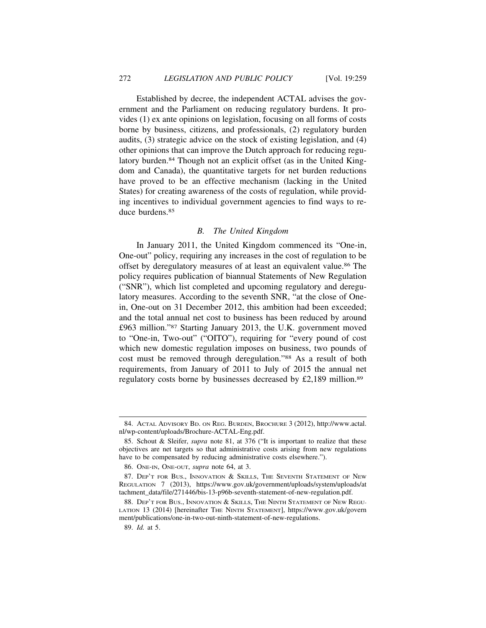Established by decree, the independent ACTAL advises the government and the Parliament on reducing regulatory burdens. It provides (1) ex ante opinions on legislation, focusing on all forms of costs borne by business, citizens, and professionals, (2) regulatory burden audits, (3) strategic advice on the stock of existing legislation, and (4) other opinions that can improve the Dutch approach for reducing regulatory burden.<sup>84</sup> Though not an explicit offset (as in the United Kingdom and Canada), the quantitative targets for net burden reductions have proved to be an effective mechanism (lacking in the United States) for creating awareness of the costs of regulation, while providing incentives to individual government agencies to find ways to reduce burdens<sup>85</sup>

## *B. The United Kingdom*

In January 2011, the United Kingdom commenced its "One-in, One-out" policy, requiring any increases in the cost of regulation to be offset by deregulatory measures of at least an equivalent value.86 The policy requires publication of biannual Statements of New Regulation ("SNR"), which list completed and upcoming regulatory and deregulatory measures. According to the seventh SNR, "at the close of Onein, One-out on 31 December 2012, this ambition had been exceeded; and the total annual net cost to business has been reduced by around £963 million."87 Starting January 2013, the U.K. government moved to "One-in, Two-out" ("OITO"), requiring for "every pound of cost which new domestic regulation imposes on business, two pounds of cost must be removed through deregulation."88 As a result of both requirements, from January of 2011 to July of 2015 the annual net regulatory costs borne by businesses decreased by £2,189 million.89

<sup>84.</sup> ACTAL ADVISORY BD. ON REG. BURDEN, BROCHURE 3 (2012), http://www.actal. nl/wp-content/uploads/Brochure-ACTAL-Eng.pdf.

<sup>85.</sup> Schout & Sleifer, *supra* note 81, at 376 ("It is important to realize that these **R** objectives are net targets so that administrative costs arising from new regulations have to be compensated by reducing administrative costs elsewhere.").

<sup>86.</sup> ONE-IN, ONE-OUT, *supra* note 64, at 3. **R**

<sup>87.</sup> DEP'T FOR BUS., INNOVATION & SKILLS, THE SEVENTH STATEMENT OF NEW REGULATION 7 (2013), https://www.gov.uk/government/uploads/system/uploads/at tachment\_data/file/271446/bis-13-p96b-seventh-statement-of-new-regulation.pdf.

<sup>88.</sup> DEP'T FOR BUS., INNOVATION & SKILLS, THE NINTH STATEMENT OF NEW REGU-LATION 13 (2014) [hereinafter THE NINTH STATEMENT], https://www.gov.uk/govern ment/publications/one-in-two-out-ninth-statement-of-new-regulations.

<sup>89.</sup> *Id.* at 5.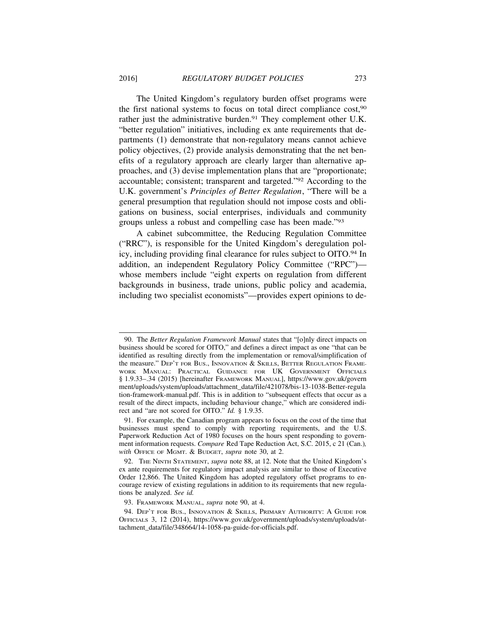The United Kingdom's regulatory burden offset programs were the first national systems to focus on total direct compliance cost,90 rather just the administrative burden.<sup>91</sup> They complement other U.K. "better regulation" initiatives, including ex ante requirements that departments (1) demonstrate that non-regulatory means cannot achieve policy objectives, (2) provide analysis demonstrating that the net benefits of a regulatory approach are clearly larger than alternative approaches, and (3) devise implementation plans that are "proportionate; accountable; consistent; transparent and targeted."92 According to the U.K. government's *Principles of Better Regulation*, "There will be a general presumption that regulation should not impose costs and obligations on business, social enterprises, individuals and community groups unless a robust and compelling case has been made."93

A cabinet subcommittee, the Reducing Regulation Committee ("RRC"), is responsible for the United Kingdom's deregulation policy, including providing final clearance for rules subject to OITO.94 In addition, an independent Regulatory Policy Committee ("RPC") whose members include "eight experts on regulation from different backgrounds in business, trade unions, public policy and academia, including two specialist economists"—provides expert opinions to de-

<sup>90.</sup> The *Better Regulation Framework Manual* states that "[o]nly direct impacts on business should be scored for OITO," and defines a direct impact as one "that can be identified as resulting directly from the implementation or removal/simplification of the measure." DEP'T FOR BUS., INNOVATION & SKILLS, BETTER REGULATION FRAME-WORK MANUAL: PRACTICAL GUIDANCE FOR UK GOVERNMENT OFFICIALS § 1.9.33–.34 (2015) [hereinafter FRAMEWORK MANUAL], https://www.gov.uk/govern ment/uploads/system/uploads/attachment\_data/file/421078/bis-13-1038-Better-regula tion-framework-manual.pdf. This is in addition to "subsequent effects that occur as a result of the direct impacts, including behaviour change," which are considered indirect and "are not scored for OITO." *Id.* § 1.9.35.

<sup>91.</sup> For example, the Canadian program appears to focus on the cost of the time that businesses must spend to comply with reporting requirements, and the U.S. Paperwork Reduction Act of 1980 focuses on the hours spent responding to government information requests. *Compare* Red Tape Reduction Act, S.C. 2015, c 21 (Can.)*, with* OFFICE OF MGMT. & BUDGET, *supra* note 30, at 2. **R**

<sup>92.</sup> THE NINTH STATEMENT, *supra* note 88, at 12. Note that the United Kingdom's **R** ex ante requirements for regulatory impact analysis are similar to those of Executive Order 12,866. The United Kingdom has adopted regulatory offset programs to encourage review of existing regulations in addition to its requirements that new regulations be analyzed. *See id.* 

<sup>93.</sup> FRAMEWORK MANUAL, *supra* note 90, at 4. **R**

<sup>94.</sup> DEP'T FOR BUS., INNOVATION & SKILLS, PRIMARY AUTHORITY: A GUIDE FOR OFFICIALS 3, 12 (2014), https://www.gov.uk/government/uploads/system/uploads/attachment\_data/file/348664/14-1058-pa-guide-for-officials.pdf.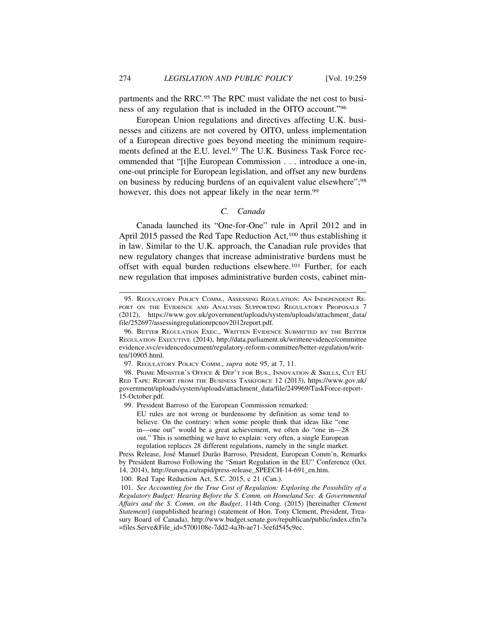partments and the RRC.95 The RPC must validate the net cost to business of any regulation that is included in the OITO account."96

European Union regulations and directives affecting U.K. businesses and citizens are not covered by OITO, unless implementation of a European directive goes beyond meeting the minimum requirements defined at the E.U. level.<sup>97</sup> The U.K. Business Task Force recommended that "[t]he European Commission . . . introduce a one-in, one-out principle for European legislation, and offset any new burdens on business by reducing burdens of an equivalent value elsewhere";98 however, this does not appear likely in the near term.<sup>99</sup>

## *C. Canada*

Canada launched its "One-for-One" rule in April 2012 and in April 2015 passed the Red Tape Reduction Act,<sup>100</sup> thus establishing it in law. Similar to the U.K. approach, the Canadian rule provides that new regulatory changes that increase administrative burdens must be offset with equal burden reductions elsewhere.101 Further, for each new regulation that imposes administrative burden costs, cabinet min-

<sup>95.</sup> REGULATORY POLICY COMM., ASSESSING REGULATION: AN INDEPENDENT RE-PORT ON THE EVIDENCE AND ANALYSIS SUPPORTING REGULATORY PROPOSALS 7 (2012), https://www.gov.uk/government/uploads/system/uploads/attachment\_data/ file/252697/assessingregulationrpcnov2012report.pdf.

<sup>96.</sup> BETTER REGULATION EXEC., WRITTEN EVIDENCE SUBMITTED BY THE BETTER REGULATION EXECUTIVE (2014), http://data.parliament.uk/writtenevidence/committee evidence.svc/evidencedocument/regulatory-reform-committee/better-regulation/written/10905.html.

<sup>97.</sup> REGULATORY POLICY COMM., *supra* note 95, at 7, 11. **R**

<sup>98.</sup> PRIME MINISTER'S OFFICE & DEP'T FOR BUS., INNOVATION & SKILLS, CUT EU RED TAPE: REPORT FROM THE BUSINESS TASKFORCE 12 (2013), https://www.gov.uk/ government/uploads/system/uploads/attachment\_data/file/249969/TaskForce-report-15-October.pdf.

<sup>99.</sup> President Barroso of the European Commission remarked:

EU rules are not wrong or burdensome by definition as some tend to believe. On the contrary: when some people think that ideas like "one in—one out" would be a great achievement, we often do "one in—28 out." This is something we have to explain: very often, a single European regulation replaces 28 different regulations, namely in the single market.

Press Release, José Manuel Durão Barroso, President, European Comm'n, Remarks by President Barroso Following the "Smart Regulation in the EU" Conference (Oct. 14, 2014), http://europa.eu/rapid/press-release\_SPEECH-14-691\_en.htm.

<sup>100.</sup> Red Tape Reduction Act, S.C. 2015, c 21 (Can.).

<sup>101.</sup> *See Accounting for the True Cost of Regulation: Exploring the Possibility of a Regulatory Budget: Hearing Before the S. Comm. on Homeland Sec. & Governmental Affairs and the S. Comm. on the Budget*, 114th Cong. (2015) [hereinafter *Clement Statement*] (unpublished hearing) (statement of Hon. Tony Clement, President, Treasury Board of Canada), http://www.budget.senate.gov/republican/public/index.cfm?a =files.Serve&File\_id=5700108e-7dd2-4a3b-ae71-3eefd545c9ec.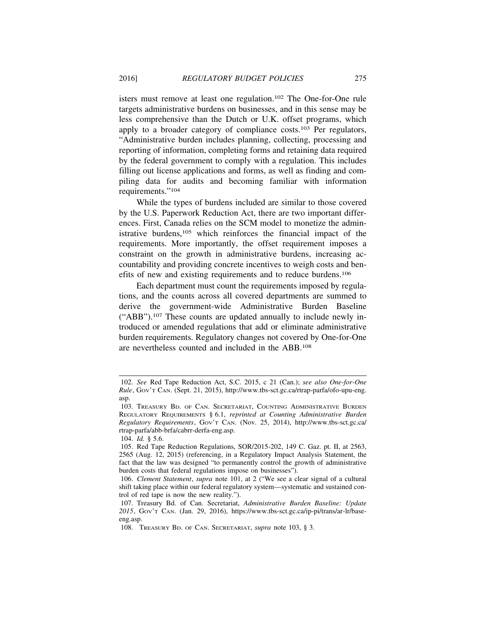isters must remove at least one regulation.102 The One-for-One rule targets administrative burdens on businesses, and in this sense may be less comprehensive than the Dutch or U.K. offset programs, which apply to a broader category of compliance costs.103 Per regulators, "Administrative burden includes planning, collecting, processing and reporting of information, completing forms and retaining data required by the federal government to comply with a regulation. This includes filling out license applications and forms, as well as finding and compiling data for audits and becoming familiar with information requirements."104

While the types of burdens included are similar to those covered by the U.S. Paperwork Reduction Act, there are two important differences. First, Canada relies on the SCM model to monetize the administrative burdens,105 which reinforces the financial impact of the requirements. More importantly, the offset requirement imposes a constraint on the growth in administrative burdens, increasing accountability and providing concrete incentives to weigh costs and benefits of new and existing requirements and to reduce burdens.106

Each department must count the requirements imposed by regulations, and the counts across all covered departments are summed to derive the government-wide Administrative Burden Baseline ("ABB").107 These counts are updated annually to include newly introduced or amended regulations that add or eliminate administrative burden requirements. Regulatory changes not covered by One-for-One are nevertheless counted and included in the ABB.108

104. *Id.* § 5.6.

<sup>102.</sup> *See* Red Tape Reduction Act, S.C. 2015, c 21 (Can.); *see also One-for-One Rule*, GOV'T CAN. (Sept. 21, 2015), http://www.tbs-sct.gc.ca/rtrap-parfa/ofo-upu-eng. asp.

<sup>103.</sup> TREASURY BD. OF CAN. SECRETARIAT, COUNTING ADMINISTRATIVE BURDEN REGULATORY REQUIREMENTS § 6.1, *reprinted at Counting Administrative Burden Regulatory Requirements*, GOV'T CAN. (Nov. 25, 2014), http://www.tbs-sct.gc.ca/ rtrap-parfa/abb-brfa/cabrr-derfa-eng.asp.

<sup>105.</sup> Red Tape Reduction Regulations, SOR/2015-202, 149 C. Gaz. pt. II, at 2563, 2565 (Aug. 12, 2015) (referencing, in a Regulatory Impact Analysis Statement, the fact that the law was designed "to permanently control the growth of administrative burden costs that federal regulations impose on businesses").

<sup>106.</sup> *Clement Statement, supra note 101, at 2* ("We see a clear signal of a cultural shift taking place within our federal regulatory system—systematic and sustained control of red tape is now the new reality.").

<sup>107.</sup> Treasury Bd. of Can. Secretariat, *Administrative Burden Baseline: Update 2015*, GOV'T CAN. (Jan. 29, 2016), https://www.tbs-sct.gc.ca/ip-pi/trans/ar-lr/baseeng.asp.

<sup>108.</sup> TREASURY BD. OF CAN. SECRETARIAT, *supra* note 103, § 3. **R**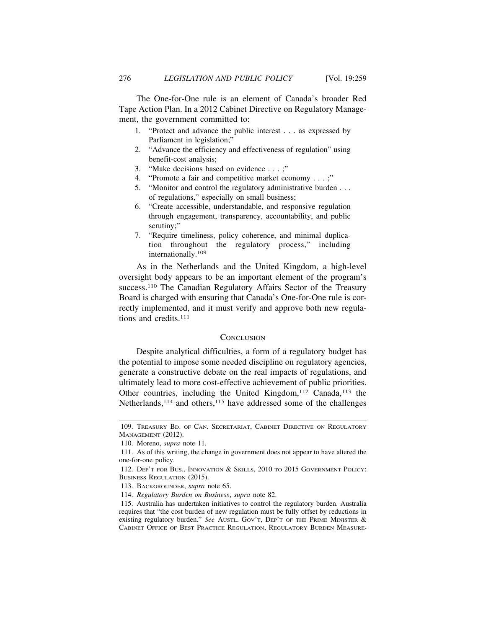The One-for-One rule is an element of Canada's broader Red Tape Action Plan. In a 2012 Cabinet Directive on Regulatory Management, the government committed to:

- 1. "Protect and advance the public interest . . . as expressed by Parliament in legislation;"
- 2. "Advance the efficiency and effectiveness of regulation" using benefit-cost analysis;
- 3. "Make decisions based on evidence . . . ;"
- 4. "Promote a fair and competitive market economy . . . ;"
- 5. "Monitor and control the regulatory administrative burden . . . of regulations," especially on small business;
- 6. "Create accessible, understandable, and responsive regulation through engagement, transparency, accountability, and public scrutiny;"
- 7. "Require timeliness, policy coherence, and minimal duplication throughout the regulatory process," including internationally.109

As in the Netherlands and the United Kingdom, a high-level oversight body appears to be an important element of the program's success.<sup>110</sup> The Canadian Regulatory Affairs Sector of the Treasury Board is charged with ensuring that Canada's One-for-One rule is correctly implemented, and it must verify and approve both new regulations and credits.<sup>111</sup>

## **CONCLUSION**

Despite analytical difficulties, a form of a regulatory budget has the potential to impose some needed discipline on regulatory agencies, generate a constructive debate on the real impacts of regulations, and ultimately lead to more cost-effective achievement of public priorities. Other countries, including the United Kingdom,<sup>112</sup> Canada,<sup>113</sup> the Netherlands,<sup>114</sup> and others,<sup>115</sup> have addressed some of the challenges

<sup>109.</sup> TREASURY BD. OF CAN. SECRETARIAT, CABINET DIRECTIVE ON REGULATORY MANAGEMENT (2012).

<sup>110.</sup> Moreno, *supra* note 11. **R**

<sup>111.</sup> As of this writing, the change in government does not appear to have altered the one-for-one policy.

<sup>112.</sup> DEP'T FOR BUS., INNOVATION & SKILLS, 2010 TO 2015 GOVERNMENT POLICY: BUSINESS REGULATION (2015).

<sup>113.</sup> BACKGROUNDER, *supra* note 65. **R**

<sup>114.</sup> *Regulatory Burden on Business*, *supra* note 82. **R**

<sup>115.</sup> Australia has undertaken initiatives to control the regulatory burden. Australia requires that "the cost burden of new regulation must be fully offset by reductions in existing regulatory burden." See Austr. Gov't, DEP'T OF THE PRIME MINISTER & CABINET OFFICE OF BEST PRACTICE REGULATION, REGULATORY BURDEN MEASURE-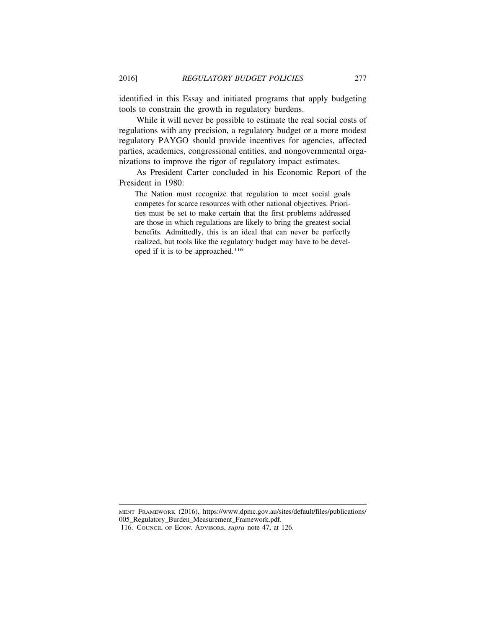identified in this Essay and initiated programs that apply budgeting tools to constrain the growth in regulatory burdens.

While it will never be possible to estimate the real social costs of regulations with any precision, a regulatory budget or a more modest regulatory PAYGO should provide incentives for agencies, affected parties, academics, congressional entities, and nongovernmental organizations to improve the rigor of regulatory impact estimates.

As President Carter concluded in his Economic Report of the President in 1980:

The Nation must recognize that regulation to meet social goals competes for scarce resources with other national objectives. Priorities must be set to make certain that the first problems addressed are those in which regulations are likely to bring the greatest social benefits. Admittedly, this is an ideal that can never be perfectly realized, but tools like the regulatory budget may have to be developed if it is to be approached.116

MENT FRAMEWORK (2016), https://www.dpmc.gov.au/sites/default/files/publications/ 005\_Regulatory\_Burden\_Measurement\_Framework.pdf.

<sup>116.</sup> COUNCIL OF ECON. ADVISORS, *supra* note 47, at 126. **R**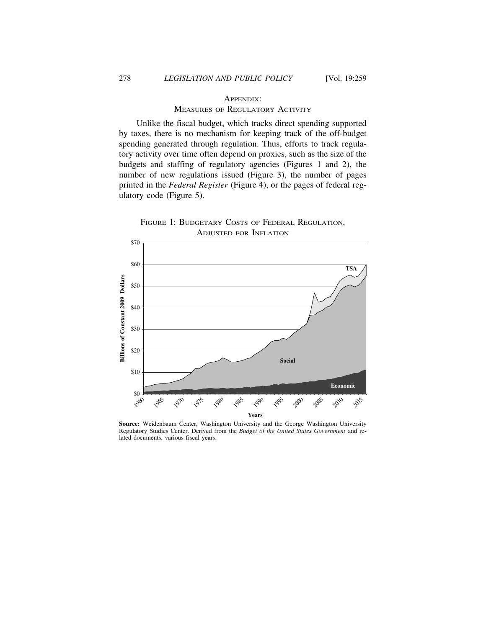## APPENDIX: MEASURES OF REGULATORY ACTIVITY

Unlike the fiscal budget, which tracks direct spending supported by taxes, there is no mechanism for keeping track of the off-budget spending generated through regulation. Thus, efforts to track regulatory activity over time often depend on proxies, such as the size of the budgets and staffing of regulatory agencies (Figures 1 and 2), the number of new regulations issued (Figure 3), the number of pages printed in the *Federal Register* (Figure 4), or the pages of federal regulatory code (Figure 5).

FIGURE 1: BUDGETARY COSTS OF FEDERAL REGULATION, ADJUSTED FOR INFLATION



**Source:** Weidenbaum Center, Washington University and the George Washington University Regulatory Studies Center. Derived from the *Budget of the United States Government* and related documents, various fiscal years.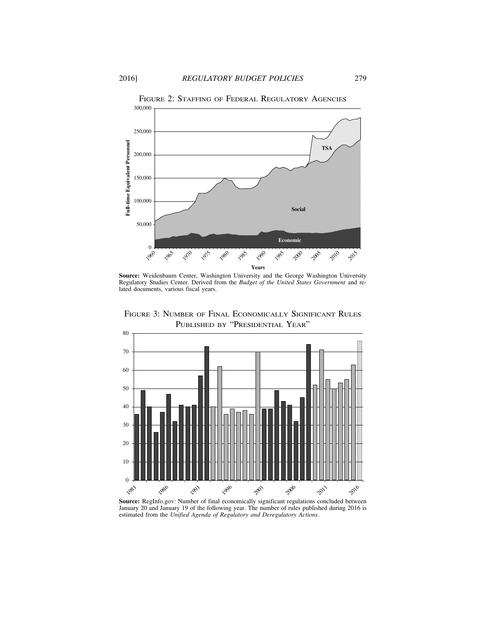

**Source:** Weidenbaum Center, Washington University and the George Washington University Regulatory Studies Center. Derived from the *Budget of the United States Government* and related documents, various fiscal years.

FIGURE 3: NUMBER OF FINAL ECONOMICALLY SIGNIFICANT RULES PUBLISHED BY "PRESIDENTIAL YEAR"



**Source:** RegInfo.gov: Number of final economically significant regulations concluded between January 20 and January 19 of the following year. The number of rules published during 2016 is estimated from the *Unified Agenda of Regulatory and Deregulatory Actions*.